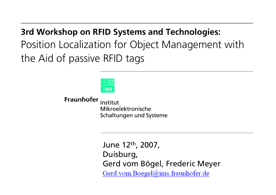**3rd Workshop on RFID Systems and Technologies:** Position Localization for Object Management with the Aid of passive RFID tags



**Fraunhofer** Institut Mikroelektronische Schaltungen und Systeme

> June 12th, 2007, Duisburg, Gerd vom Bögel, Frederic MeyerGerd.vom.Boegel@ims.fraunhofer.de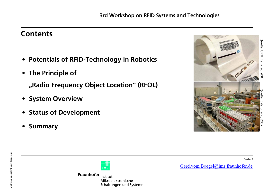### **Contents**

- $\bullet$ **Potentials of RFID-Technology in Robotics**
- **The Principle of**

**"Radio Frequency Object Location" (RFOL)**

- **System Overview**
- •**Status of Development**
- $\bullet$ **Summary**



Seite 2

Gerd.vom.Boegel@ims.fraunhofer.de



Fraunhofer Institut Mikroelektronische Schaltungen und Systeme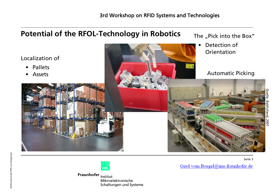# **Potential of the RFOL-Technology in Robotics** Localization of • Pallets• Assets The "Pick into the Box" • Detection of Orientation Automatic Picking

Seite 3



Fraunhofer Institut Mikroelektronische Schaltungen und Systeme Gerd.vom.Boegel@ims.fraunhofer.de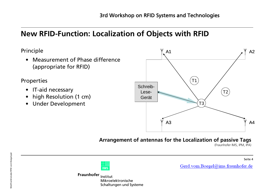# **New RFID-Function: Localization of Objects with RFID**

Principle

• Measurement of Phase difference(appropriate for RFID)

Properties

- IT-aid necessary
- •high Resolution (1 cm)
- $\bullet$ Under Development



### **Arrangement of antennas for the Localization of passive Tags**

(Fraunhofer IMS, IPM, IPA)

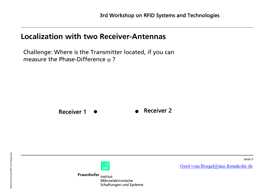### **Localization with two Receiver-Antennas**

Challenge: Where is the Transmitter located, if you can measure the Phase-Difference  $\phi$  ?



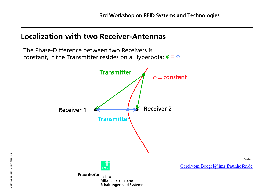Seite 6

### **Localization with two Receiver-Antennas**

```
The Phase-Difference between two Receivers isconstant, if the Transmitter resides on a Hyperbola; \boldsymbol\varphi = \boldsymbol\varphiTransmitter
                                                 \varphi = constant
                                              Receiver 2
    Receiver 1Transmitter
                                                              Gerd.vom.Boegel@ims.fraunhofer.de
                         IMS
             Fraunhofer Institut
                        Mikroelektronische
                        Schaltungen und Systeme
```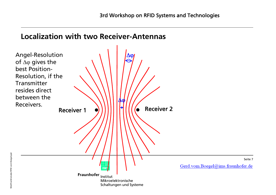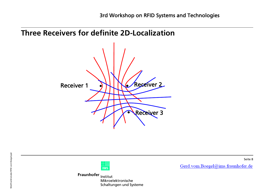



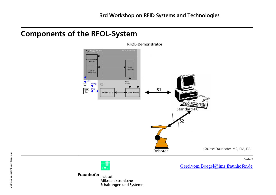### **Components of the RFOL-System**



**RFOL-Demonstrator** 

#### Seite 9

Gerd.vom.Boegel@ims.fraunhofer.de

 $\overline{1MS}$ 

Fraunhofer <sub>Institut</sub> Mikroelektronische Schaltungen und Systeme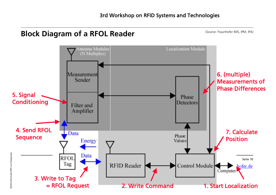## **Block Diagram of a RFOL Reader**

(Source: Fraunhofer IMS, IPM, IPA)

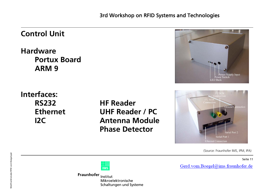### **Control UnitHardwarePortux BoardARM 9**Power Supply Input I FD Ranl **Interfaces:** $I<sup>2</sup>C$  SDA **RS232 HF Reader**Ground Connection **Ethernet UHF Reader / PCI2C Antenna ModulePhase Detector**erial Port 2 Serial Port 1 **Ethernet Connection** (Source: Fraunhofer IMS, IPM, IPA)Seite 11

Gerd.vom.Boegel@ims.fraunhofer.de

 $\overline{\text{IMS}}$ 

Fraunhofer Institut Mikroelektronische Schaltungen und Systeme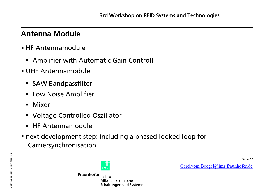### **Antenna Module**

- **E** HF Antennamodule
	- Amplifier with Automatic Gain Controll
- UHF Antennamodule
	- **SAW Bandpassfilter**
	- **E** Low Noise Amplifier
	- Mixer
	- Voltage Controlled Oszillator
	- HF Antennamodule
- next development step: including a phased looked loop for Carriersynchronisation



Fraunhofer Institut Mikroelektronische Schaltungen und Systeme Gerd.vom.Boegel@ims.fraunhofer.de

Seite 12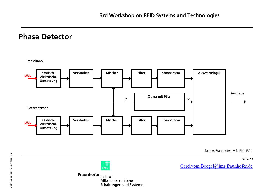### **Phase Detector**



Schaltungen und Systeme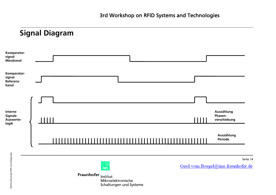